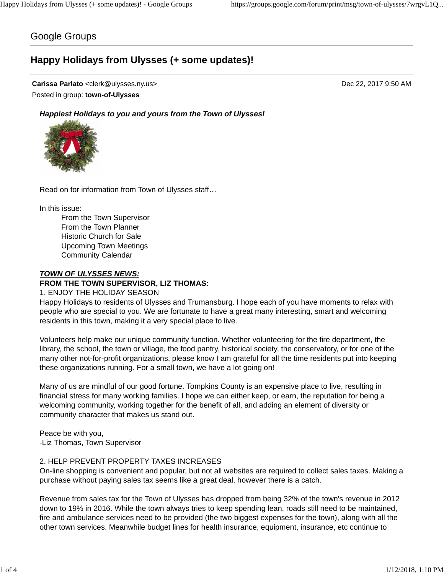## Google Groups

# **Happy Holidays from Ulysses (+ some updates)!**

#### **Carissa Parlato** <clerk@ulysses.ny.us> Dec 22, 2017 9:50 AM Posted in group: **town-of-Ulysses**

*Happiest Holidays to you and yours from the Town of Ulysses!*



Read on for information from Town of Ulysses staff…

In this issue:

From the Town Supervisor From the Town Planner Historic Church for Sale Upcoming Town Meetings Community Calendar

#### *TOWN OF ULYSSES NEWS:*

#### **FROM THE TOWN SUPERVISOR, LIZ THOMAS:**

1. ENJOY THE HOLIDAY SEASON

Happy Holidays to residents of Ulysses and Trumansburg. I hope each of you have moments to relax with people who are special to you. We are fortunate to have a great many interesting, smart and welcoming residents in this town, making it a very special place to live.

Volunteers help make our unique community function. Whether volunteering for the fire department, the library, the school, the town or village, the food pantry, historical society, the conservatory, or for one of the many other not-for-profit organizations, please know I am grateful for all the time residents put into keeping these organizations running. For a small town, we have a lot going on!

Many of us are mindful of our good fortune. Tompkins County is an expensive place to live, resulting in financial stress for many working families. I hope we can either keep, or earn, the reputation for being a welcoming community, working together for the benefit of all, and adding an element of diversity or community character that makes us stand out.

Peace be with you, -Liz Thomas, Town Supervisor

#### 2. HELP PREVENT PROPERTY TAXES INCREASES

On-line shopping is convenient and popular, but not all websites are required to collect sales taxes. Making a purchase without paying sales tax seems like a great deal, however there is a catch.

Revenue from sales tax for the Town of Ulysses has dropped from being 32% of the town's revenue in 2012 down to 19% in 2016. While the town always tries to keep spending lean, roads still need to be maintained, fire and ambulance services need to be provided (the two biggest expenses for the town), along with all the other town services. Meanwhile budget lines for health insurance, equipment, insurance, etc continue to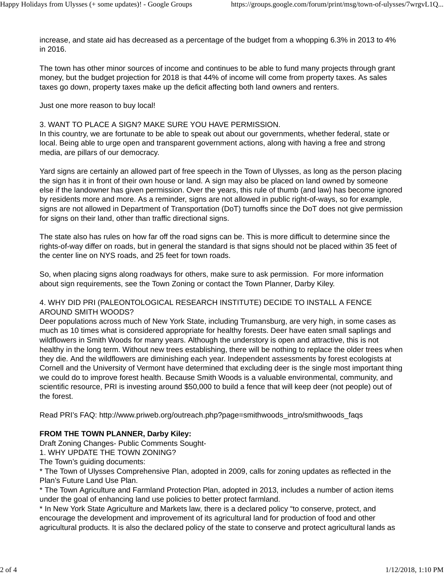increase, and state aid has decreased as a percentage of the budget from a whopping 6.3% in 2013 to 4% in 2016.

The town has other minor sources of income and continues to be able to fund many projects through grant money, but the budget projection for 2018 is that 44% of income will come from property taxes. As sales taxes go down, property taxes make up the deficit affecting both land owners and renters.

#### Just one more reason to buy local!

#### 3. WANT TO PLACE A SIGN? MAKE SURE YOU HAVE PERMISSION.

In this country, we are fortunate to be able to speak out about our governments, whether federal, state or local. Being able to urge open and transparent government actions, along with having a free and strong media, are pillars of our democracy.

Yard signs are certainly an allowed part of free speech in the Town of Ulysses, as long as the person placing the sign has it in front of their own house or land. A sign may also be placed on land owned by someone else if the landowner has given permission. Over the years, this rule of thumb (and law) has become ignored by residents more and more. As a reminder, signs are not allowed in public right-of-ways, so for example, signs are not allowed in Department of Transportation (DoT) turnoffs since the DoT does not give permission for signs on their land, other than traffic directional signs.

The state also has rules on how far off the road signs can be. This is more difficult to determine since the rights-of-way differ on roads, but in general the standard is that signs should not be placed within 35 feet of the center line on NYS roads, and 25 feet for town roads.

So, when placing signs along roadways for others, make sure to ask permission. For more information about sign requirements, see the Town Zoning or contact the Town Planner, Darby Kiley.

#### 4. WHY DID PRI (PALEONTOLOGICAL RESEARCH INSTITUTE) DECIDE TO INSTALL A FENCE AROUND SMITH WOODS?

Deer populations across much of New York State, including Trumansburg, are very high, in some cases as much as 10 times what is considered appropriate for healthy forests. Deer have eaten small saplings and wildflowers in Smith Woods for many years. Although the understory is open and attractive, this is not healthy in the long term. Without new trees establishing, there will be nothing to replace the older trees when they die. And the wildflowers are diminishing each year. Independent assessments by forest ecologists at Cornell and the University of Vermont have determined that excluding deer is the single most important thing we could do to improve forest health. Because Smith Woods is a valuable environmental, community, and scientific resource, PRI is investing around \$50,000 to build a fence that will keep deer (not people) out of the forest.

Read PRI's FAQ: http://www.priweb.org/outreach.php?page=smithwoods\_intro/smithwoods\_faqs

## **FROM THE TOWN PLANNER, Darby Kiley:**

Draft Zoning Changes- Public Comments Sought-

1. WHY UPDATE THE TOWN ZONING?

The Town's guiding documents:

\* The Town of Ulysses Comprehensive Plan, adopted in 2009, calls for zoning updates as reflected in the Plan's Future Land Use Plan.

\* The Town Agriculture and Farmland Protection Plan, adopted in 2013, includes a number of action items under the goal of enhancing land use policies to better protect farmland.

\* In New York State Agriculture and Markets law, there is a declared policy "to conserve, protect, and encourage the development and improvement of its agricultural land for production of food and other agricultural products. It is also the declared policy of the state to conserve and protect agricultural lands as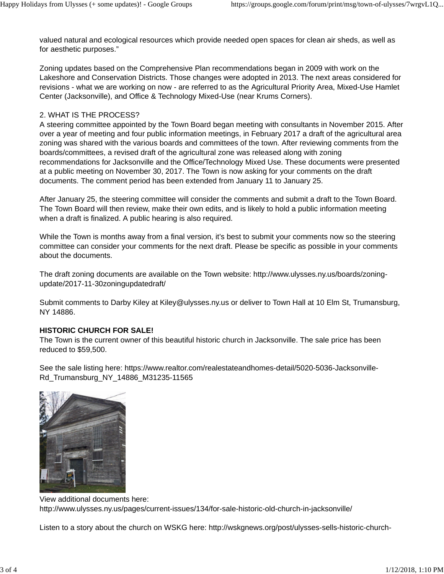valued natural and ecological resources which provide needed open spaces for clean air sheds, as well as for aesthetic purposes."

Zoning updates based on the Comprehensive Plan recommendations began in 2009 with work on the Lakeshore and Conservation Districts. Those changes were adopted in 2013. The next areas considered for revisions - what we are working on now - are referred to as the Agricultural Priority Area, Mixed-Use Hamlet Center (Jacksonville), and Office & Technology Mixed-Use (near Krums Corners).

### 2. WHAT IS THE PROCESS?

A steering committee appointed by the Town Board began meeting with consultants in November 2015. After over a year of meeting and four public information meetings, in February 2017 a draft of the agricultural area zoning was shared with the various boards and committees of the town. After reviewing comments from the boards/committees, a revised draft of the agricultural zone was released along with zoning recommendations for Jacksonville and the Office/Technology Mixed Use. These documents were presented at a public meeting on November 30, 2017. The Town is now asking for your comments on the draft documents. The comment period has been extended from January 11 to January 25.

After January 25, the steering committee will consider the comments and submit a draft to the Town Board. The Town Board will then review, make their own edits, and is likely to hold a public information meeting when a draft is finalized. A public hearing is also required.

While the Town is months away from a final version, it's best to submit your comments now so the steering committee can consider your comments for the next draft. Please be specific as possible in your comments about the documents.

The draft zoning documents are available on the Town website: http://www.ulysses.ny.us/boards/zoningupdate/2017-11-30zoningupdatedraft/

Submit comments to Darby Kiley at Kiley@ulysses.ny.us or deliver to Town Hall at 10 Elm St, Trumansburg, NY 14886.

## **HISTORIC CHURCH FOR SALE!**

The Town is the current owner of this beautiful historic church in Jacksonville. The sale price has been reduced to \$59,500.

See the sale listing here: https://www.realtor.com/realestateandhomes-detail/5020-5036-Jacksonville-Rd\_Trumansburg\_NY\_14886\_M31235-11565



View additional documents here: http://www.ulysses.ny.us/pages/current-issues/134/for-sale-historic-old-church-in-jacksonville/

Listen to a story about the church on WSKG here: http://wskgnews.org/post/ulysses-sells-historic-church-